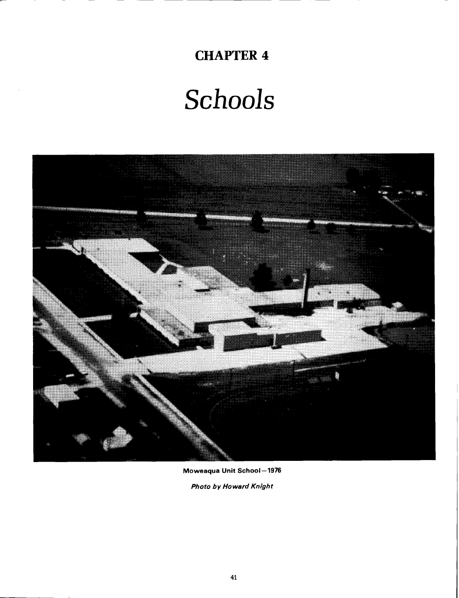## **CHAPTER 4**

# Schools



**Moweaqua Unit School-1976** 

**Photo by Howard Knight**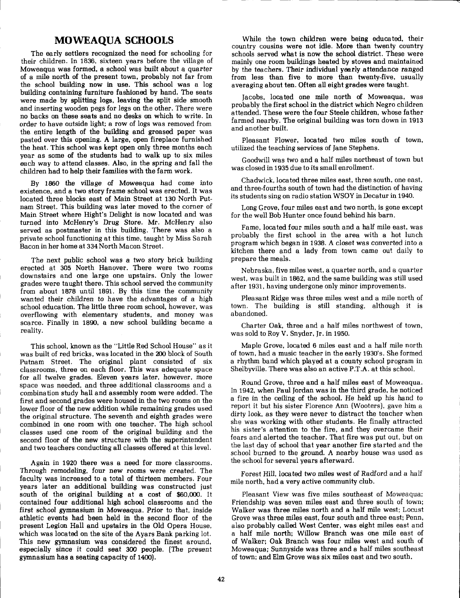### **MOWEAQUA SCHOOLS**

The early settlers recognized the need for schooling for their children. In **1836,** sixteen years before the village of Moweaqua was formed, a school was built about a quarter of a mile north of the present town, probably not far from the school building now in use. This school was a log building containing furniture fashioned by hand. The seats were made by splitting logs, leaving the split side smooth and inserting wooden pegs for legs on the other. There were no backs on these seats and no desks on which to write. In order to have outside light; a row of logs was removed from the entire length of the building and greased paper was pasted over this opening. A large, open fireplace furnished the heat. This school was kept open only three months each year as some of the students had to walk up to six miles each way to attend classes. Also, in the spring and fall the children had to help their families with the farm work.

By **1860** the village of Moweaqua had come into existence, and a two story frame school was erected. It was located three blocks east of Main Street at **130** North Putnam Street. This building was later moved to the corner of Main Street where Hight's Delight is now located and was turned into McHenry's Drug Store. Mr. McHenry also served as postmaster in this building. There was also a private school functioning at this time, taught by Miss Sarah Bacon in her home at **334** North Macon Street.

The next public school was a two story brick building erected at **305** North Hanover. There were two rooms downstairs and one large one upstairs. Only the lower grades were taught there. This school served the community from about **1878** until **1891.** By **this** time the community wanted their children to have the advantages of a high school education. The little three room school, however, was overflowing with elementary students, and money was scarce. Finally in **1890,** a new school building became a reality.

This school, known as the "Little Red School House" as it was built of red bricks, was located in the 200 block of South Putnam Street. The original plant consisted of six classrooms, three on each floor. This was adequate space for all twelve grades. Eleven years later, however, more space was needed, and three additional classrooms and a combination study hall and assembly room were added. The first and second grades were housed in the two rooms on the lower floor of the new addition while remaining grades used the original structure. The seventh and eighth grades were combined in one room with one teacher. The high school classes used one room of the original building and the second floor of the new structure with the superintendent and two teachers conducting all classes offered at this level.

Again in **1920** there was a need for more classrooms. Through remodeling, four new rooms were created. The faculty was increased to a total of thirteen members. Four years later an additional building was constructed just south of the original building at a cost of **\$60,000.** It contained four additional high school classrooms and the first school gymnasium in Moweaqua. Prior to that, inside athletic events had been held in the second floor of the present Legion Hall and upstairs in the Old Opera House, which was located on the site of the Ayars Bank parking lot. This new gymnasium was considered the finest around, especially since it could seat 300 people. (The present gymnasium has a seating capacity of **1400).** 

While the town children were being educated, their country cousins were not idle. More than twenty country schools served what is now the school district. These were mainly one room buildings heated by stoves and maintained by the teachers. Their individual yearly attendance ranged from less than five to more than twenty-five, usually averaging about ten. Often all eight grades were taught.

Jacobs, located one mile north of Moweaqua, was probably the first school in the district which Negro children attended. These were the four Steele children, whose father farmed nearby. The original building was torn down in **1913**  and another built.

Pleasant Flower, located two miles south of town, utilized the teaching services of Jane Stephens.

Goodwill was two and a half miles northeast of town but was closed in **1935** due to its small enrollment.

Chadwick, located three miles east, three south, one east, and three-fourths south of town had the distinction of having its students sing on radio station WSOY in Decatur in **1940.** 

Long Grove, four miles east and two north, is gone except for the well Bob Hunter once found behind his barn.

Fame, located four miles south and a half mile east, was probably the first school in the area with a hot lunch program which began in **1938.** A closet was converted into a kitchen there and a lady from town came out daily to prepare the meals.

Nebraska, five miles west, a quarter north, and a quarter west, was built in **1862,** and the same building was still used after **1931,** having undergone only minor improvements.

Pleasant Ridge was three miles west and a mile north of town. The building is still standing, although it is abandoned.

Charter Oak, three and a half miles northwest of town, was sold to Roy V. Snyder, Jr. in **1950.** 

Maple Grove, located **6** miles east and a half mile north of town, had a music teacher in the early **1930's.** She formed a rhythm band which played at a county school program in Shelbyville. There was also an active P.T.A. at this school.

Round Grove, three and a half miles east of Moweaqua. In **1942,** when Paul Jordan was in the third grade, he noticed a fire in the ceiling of the school. He held up his hand to report it but his sister Florence Ann (Wooters), gave him a dirty look, as they were never to distract the teacher when she was working with other students. He finally attracted his sister's attention to the fire, and they overcame their fears and alerted the teacher. That fire was put out, but on the last day of school that year another fire started and the school burned to the ground. A nearby house was used as the school for several years afterward.

Forest Hill, located two miles west of Radford and a half mile north, had a very active community club.

Pleasant View was five miles southeast of Moweaqua; Friendship was seven miles east and three south of town; Walker was three miles north and a half mile west; Locust Grove was three miles east, four south and three east; Penn, also probably called West Center, was eight miles east and a half mile north; Willow Branch was one mile east of of Walker; Oak Branch was four miles west and south of Moweaqua; Sunnyside was three and a half miles southeast of town: and **Elm** Grove was six miles east and two south.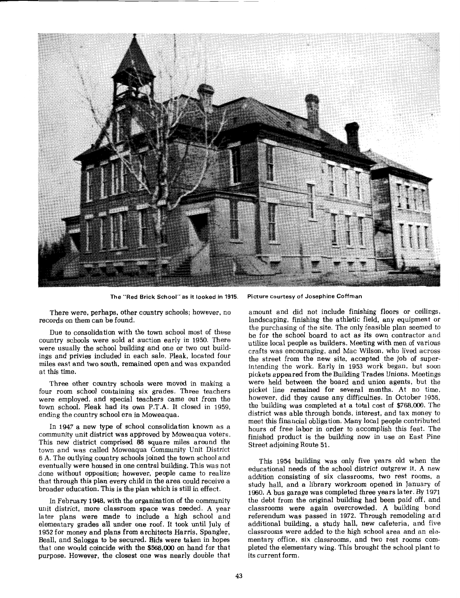

**The "Red Brick School" as it looked in 1915. Picture courtesy of Josephine Coffman** 

There were, perhaps, other country schools; however, no records on them can be found.

Due to consolidation with the town school most of these country schools were sold at auction early in **1950.** There were usually the school building and one or two out buildings and privies included in each sale. Pleak, located four miles east and two south, remained open and was expanded at this time.

Three other country schools were moved in making a four room school containing six grades. Three teachers were employed, and special teachers came out from the town school. Pleak had its own P.T.A. It closed in **1959,**  ending the country school era in Moweaqua.

In **1947** a new **type** of school consolidation known as a community unit district was approved by Moweaqua voters. This new district comprised 88 square miles around the town and was called Moweaqua Community Unit District **6** A. The outlying country schools joined the town school and eventually were housed in one central building. This was not done without opposition; however, people came to realize that through this plan every child in the area could receive a broader education. This is the plan which is still in effect.

In February **1948,** with the organization of the community unit district, more classroom space was needed. A year later plans were made to include a high school and elementary grades all under one roof. It took until July of **1952** for money and plans from architects Harris, Spangler, Beall, and Salogga to be secured. Bids were taken in hopes that one would coincide with the \$568,000 on hand for that purpose. However, the closest one was nearly double that

amount and did not include finishing floors or ceilings, landscaping, finishing the athletic field, any equipment or the purchasing of the site. The only feasible plan seemed to be for the school board to act as its own contractor and utilize local people as builders. Meeting with men of various crafts was encouraging, and Mac Wilson, who lived across the street from the new site, accepted the job of superintending the work. Early in **1953** work began, but soon pickets appeared from the Building Trades Unions. Meetings were held between the board and union agents, but the picket line remained for several months. At no time, however, did they cause any difficulties. In October **1955,**  the building was completed at a total cost of **\$768,000.** The district was able through bonds, interest, and tax money to meet this financial obligation. Many local people contributed hours of free labor in order to accomplish this feat. The finished product is the building now in use on East Pine Street adjoining Route **51.** 

This **1954** building was only five years old when the educational needs of the school district outgrew it. A new addition consisting of six classrooms, two rest rooms, a study hall, and a library workroom opened in January of **1960.** A bus garage was completed three years later. By **1971**  the debt from the original building had been paid off, and classrooms were again overcrowded. A building bond referendum was passed in 1972. Through remodeling and additional building, a study hall, new cafeteria, and five classrooms were added to the high school area and an elementary office, six classrooms, and two rest rooms conipleted the elementary wing. This brought the school plant to its current form.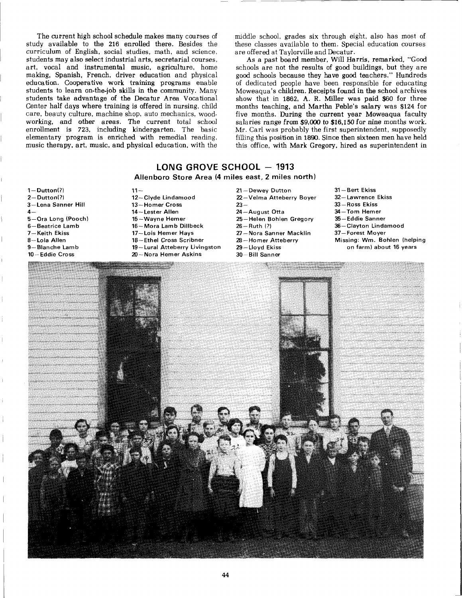The current high school schedule makes many courses of study available to the 216 enrolled there. Besides the curriculum of English, social studies, math, and science, students may also select industrial arts, secretarial courses, art, vocal and instrumental music, agriculture, home making, Spanish, French, driver education and physical education. Cooperative work training programs enable students to learn on-the-job skills in the community. Many students take advantage of the Decatur Area Vocational Center half days where training is offered in nursing, child care, beauty culture, machine shop, auto mechanics, woodworking, and other areas. The current total school enrollment is 723, including kindergarten. The basic elementary program is enriched with remedial reading, music therapy, art, music, and physical education, with the

middle school, grades six through eight, also has most of these classes available to them. Special education courses are offered at Taylorville and Decatur.

As a past board member, Will Harris, remarked, "Good schools are not the results of good buildings, but they are good schools because they have good teachers." Hundreds of dedicated people have been responsible for educating Moweaqua's children. Receipts found in the school archives show that in 1862, A. R. Miller was paid \$60 for three months teaching, and Martha Peble's salary was \$124 for five months. During the current year Moweaqua faculty salaries range from \$9,000 to **\$16,150** for nine months work. Mr. Carl was probably the first superintendent, supposedly filling this position in 1890. Since then sixteen men have held this office, with Mark Gregory, hired as superintendent in

#### **LONG GROVE SCHOOL - 1913 Allenboro Store Area (4 miles east, 2 miles north)**

- 1-Dutton(?) 2-Dutton(?) 3 – Lena Sanner Hill<br>4 –<br>-5-0ra Long (Pooch) 6-Beatrice Lamb 7-Keith Ekiss 8-Lola Allen 9-Blanche Lamb 10-Eddie Cross
- $11 -$ 12-Clyde Lindamood 13-Homer Cross 14-Lester Allen 15-Wayne Hemer 16-Mora Lamb Dillbeck 17-Lois Hemer Hays 18-Ethel Cross Scribner 19-Lural Atteberry Livingston 20-Nora Hemer Askins
- 21-Dewey Dutton 22–Velma Atteberry Boyer<br>23–<br>-24-August Otta 25-Helen Bohlen Gregory 26-Ruth (?) 27-Nora Sanner Macklin 28-Homer Atteberry 29-Lloyd Ekiss 30-Bill Sanner
- 31-Bert Ekiss 32-Lawrence Ekiss 33-Ross Ekiss 34-Torn Hemer 35-Eddie Sanner 36-Clayton Lindamood 37-Forest Moyer Missing: Wm. Bohlen (helping on farm) about 16 years

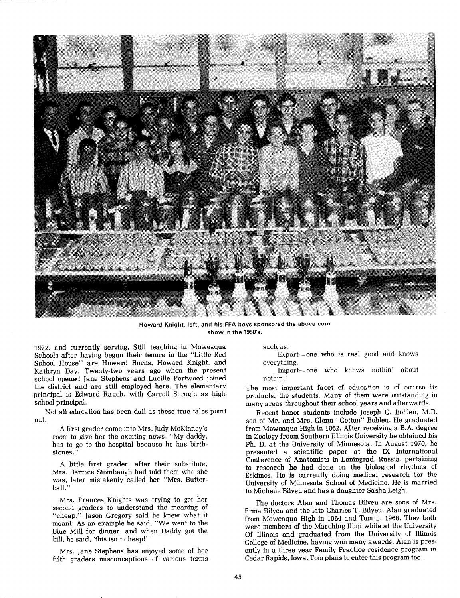

**Howard Knight, left, and his FFA boys sponsored the above corn show in the 1950's.** 

1972, and currently serving. Still teaching in Moweaqua Schools after having begun their tenure in the "Little Red School House" are Howard Burns, Howard Knight, and Kathryn Day. Twenty-two years ago when the present school opened Jane Stephens and Lucille Portwood joined the district and are still employed here. The elementary principal is Edward Rauch, with Carroll Scrogin as high school principal.

Not all education has been dull as these true tales point out.

A first grader came into Mrs. Judy McKinney's room to give her the exciting news, "My daddy, has to go to the hospital because he has birthstones.'

A little first grader, after their substitute, Mrs. Bernice Stombaugh had told them who she was, later mistakenly called her "Mrs. Butterball."

Mrs. Frances Knights was trying to get her second graders to understand the meaning of "cheap." Jason Gregory said he knew what it meant. As an example he said, "We went to the Blue Mill for dinner, and when Daddy got the bill, he said, 'this isn't cheap!"'

Mrs. Jane Stephens has enjoyed some of her fifth graders misconceptions of various terms such as:

Export-one who is real good and knows everything.

Import-one who knows nothin' about nothin .'

The most important facet of education is of course its products, the students. Many of them were outstanding in many areas throughout their school years and afterwards.

Recent honor students include Joseph G. Bohlen, M.D. son of Mr. and Mrs. Glenn "Cotton" Bohlen. He graduated from Moweaqua High in 1962. After receiving a B.A. degree in Zoology froom Southern Illinois University he obtained his Ph. D. at the University of Minnesota. In August 1970, he presented a scientific paper at the IX International Conference of Anatomists in Leningrad, Russia, pertaining to research he had done on the biological rhythms of Eskimos. He is currently doing medical research for the University of Minnesota School of Medicine. He is married to Michelle Bilyeu and has a daughter Sasha Leigh.

The doctors Alan and Thomas Bilyeu are sons of Mrs. Erma Bilyeu and the late Charles T. Bilyeu. Alan graduated from Moweaqua High in 1964 and Tom in 1968. They both were members of the Marching Illini while at the University Of Illinois and graduated from the University of Illinois College of Medicine, having won many awards. Alan is presently in a three year Family Practice residence program in Cedar Rapids, Iowa. Tom plans to enter this program too.